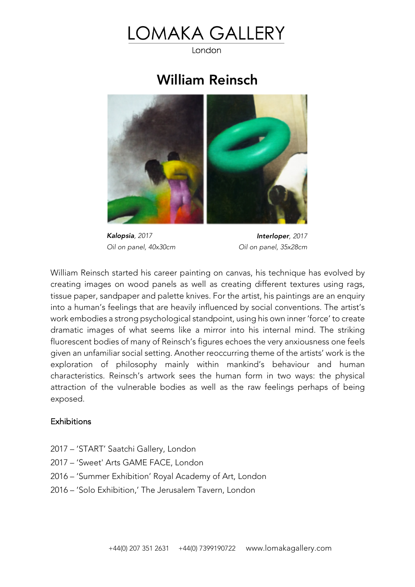## OMAKA GALLERY

London

## William Reinsch



*Kalopsia, 2017 Oil on panel, 40x30cm*

*Interloper, 2017 Oil on panel, 35x28cm*

William Reinsch started his career painting on canvas, his technique has evolved by creating images on wood panels as well as creating different textures using rags, tissue paper, sandpaper and palette knives. For the artist, his paintings are an enquiry into a human's feelings that are heavily influenced by social conventions. The artist's work embodies a strong psychological standpoint, using his own inner 'force' to create dramatic images of what seems like a mirror into his internal mind. The striking fluorescent bodies of many of Reinsch's figures echoes the very anxiousness one feels given an unfamiliar social setting. Another reoccurring theme of the artists' work is the exploration of philosophy mainly within mankind's behaviour and human characteristics. Reinsch's artwork sees the human form in two ways: the physical attraction of the vulnerable bodies as well as the raw feelings perhaps of being exposed.

## **Exhibitions**

- 2017 'START' Saatchi Gallery, London
- 2017 'Sweet' Arts GAME FACE, London
- 2016 'Summer Exhibition' Royal Academy of Art, London
- 2016 'Solo Exhibition,' The Jerusalem Tavern, London